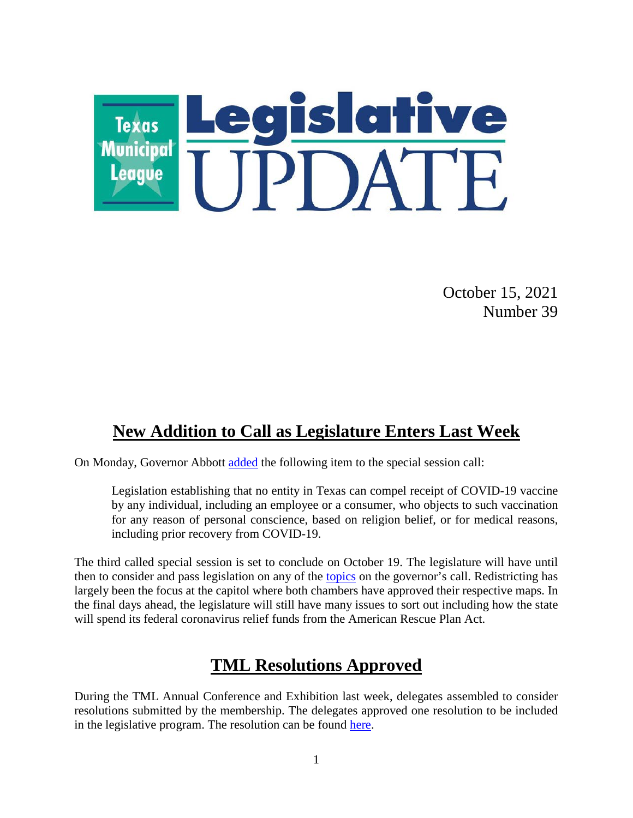

October 15, 2021 Number 39

## **New Addition to Call as Legislature Enters Last Week**

On Monday, Governor Abbott [added](https://gov.texas.gov/uploads/files/press/MESSAGE_3rd_called_87th_adding_matters_to_call_IMAGE_10-11-21.pdf) the following item to the special session call:

Legislation establishing that no entity in Texas can compel receipt of COVID-19 vaccine by any individual, including an employee or a consumer, who objects to such vaccination for any reason of personal conscience, based on religion belief, or for medical reasons, including prior recovery from COVID-19.

The third called special session is set to conclude on October 19. The legislature will have until then to consider and pass legislation on any of the [topics](https://www.tml.org/754/October-1-2021-Number-38#specialsession) on the governor's call. Redistricting has largely been the focus at the capitol where both chambers have approved their respective maps. In the final days ahead, the legislature will still have many issues to sort out including how the state will spend its federal coronavirus relief funds from the American Rescue Plan Act.

# **TML Resolutions Approved**

During the TML Annual Conference and Exhibition last week, delegates assembled to consider resolutions submitted by the membership. The delegates approved one resolution to be included in the legislative program. The resolution can be found [here.](https://www.tml.org/DocumentCenter/View/2938/2021-Resolutions-Approved-by-Membership)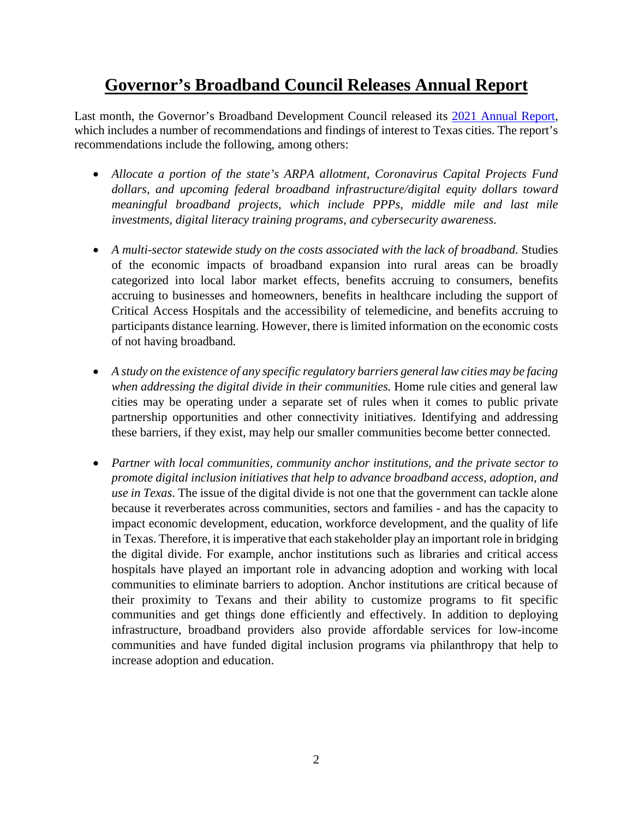# **Governor's Broadband Council Releases Annual Report**

Last month, the Governor's Broadband Development Council released its [2021 Annual Report,](https://gov.texas.gov/uploads/files/business/2021_GBDC_Report_(Final_-_9-17-21).pdf) which includes a number of recommendations and findings of interest to Texas cities. The report's recommendations include the following, among others:

- Allocate a portion of the state's ARPA allotment, Coronavirus Capital Projects Fund *dollars, and upcoming federal broadband infrastructure/digital equity dollars toward meaningful broadband projects, which include PPPs, middle mile and last mile investments, digital literacy training programs, and cybersecurity awareness.*
- A multi-sector statewide study on the costs associated with the lack of broadband. Studies of the economic impacts of broadband expansion into rural areas can be broadly categorized into local labor market effects, benefits accruing to consumers, benefits accruing to businesses and homeowners, benefits in healthcare including the support of Critical Access Hospitals and the accessibility of telemedicine, and benefits accruing to participants distance learning. However, there is limited information on the economic costs of not having broadband*.*
- *A study on the existence of any specific regulatory barriers general law cities may be facing when addressing the digital divide in their communities.* Home rule cities and general law cities may be operating under a separate set of rules when it comes to public private partnership opportunities and other connectivity initiatives. Identifying and addressing these barriers, if they exist, may help our smaller communities become better connected.
- *Partner with local communities, community anchor institutions, and the private sector to promote digital inclusion initiatives that help to advance broadband access, adoption, and use in Texas*. The issue of the digital divide is not one that the government can tackle alone because it reverberates across communities, sectors and families - and has the capacity to impact economic development, education, workforce development, and the quality of life in Texas. Therefore, it is imperative that each stakeholder play an important role in bridging the digital divide. For example, anchor institutions such as libraries and critical access hospitals have played an important role in advancing adoption and working with local communities to eliminate barriers to adoption. Anchor institutions are critical because of their proximity to Texans and their ability to customize programs to fit specific communities and get things done efficiently and effectively. In addition to deploying infrastructure, broadband providers also provide affordable services for low-income communities and have funded digital inclusion programs via philanthropy that help to increase adoption and education.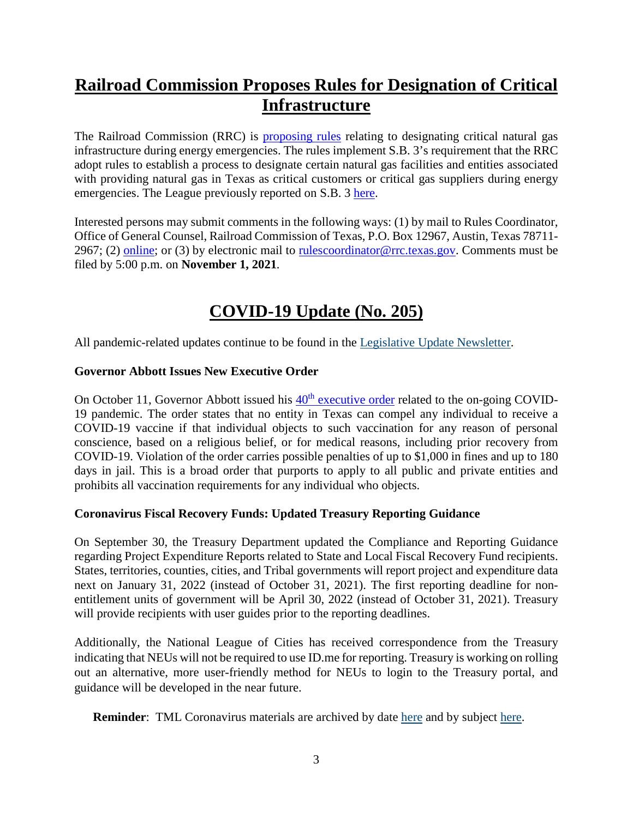# **Railroad Commission Proposes Rules for Designation of Critical Infrastructure**

The Railroad Commission (RRC) is **proposing rules** relating to designating critical natural gas infrastructure during energy emergencies. The rules implement S.B. 3's requirement that the RRC adopt rules to establish a process to designate certain natural gas facilities and entities associated with providing natural gas in Texas as critical customers or critical gas suppliers during energy emergencies. The League previously reported on S.B. 3 [here.](https://www.tml.org/742/July-30-2021-Number-29#winterstorm)

Interested persons may submit comments in the following ways: (1) by mail to Rules Coordinator, Office of General Counsel, Railroad Commission of Texas, P.O. Box 12967, Austin, Texas 78711 2967; (2) [online;](http://www.rrc.texas.gov/general-counsel/rules/comment-form-for-proposed-rulemakings) or (3) by electronic mail to [rulescoordinator@rrc.texas.gov.](mailto:rulescoordinator@rrc.texas.gov) Comments must be filed by 5:00 p.m. on **November 1, 2021***.*

# **COVID-19 Update (No. 205)**

All pandemic-related updates continue to be found in the [Legislative Update Newsletter.](https://www.tml.org/705/_2021)

## **Governor Abbott Issues New Executive Order**

On October 11, Governor Abbott issued his  $40<sup>th</sup>$  [executive order](https://lrl.texas.gov/scanned/govdocs/Greg%20Abbott/2021/GA-40.pdf) related to the on-going COVID-19 pandemic. The order states that no entity in Texas can compel any individual to receive a COVID-19 vaccine if that individual objects to such vaccination for any reason of personal conscience, based on a religious belief, or for medical reasons, including prior recovery from COVID-19. Violation of the order carries possible penalties of up to \$1,000 in fines and up to 180 days in jail. This is a broad order that purports to apply to all public and private entities and prohibits all vaccination requirements for any individual who objects.

## **Coronavirus Fiscal Recovery Funds: Updated Treasury Reporting Guidance**

On September 30, the Treasury Department updated the Compliance and Reporting Guidance regarding Project Expenditure Reports related to State and Local Fiscal Recovery Fund recipients. States, territories, counties, cities, and Tribal governments will report project and expenditure data next on January 31, 2022 (instead of October 31, 2021). The first reporting deadline for nonentitlement units of government will be April 30, 2022 (instead of October 31, 2021). Treasury will provide recipients with user guides prior to the reporting deadlines.

Additionally, the National League of Cities has received correspondence from the Treasury indicating that NEUs will not be required to use ID.me for reporting. Treasury is working on rolling out an alternative, more user-friendly method for NEUs to login to the Treasury portal, and guidance will be developed in the near future.

**Reminder**: TML Coronavirus materials are archived by date [here](https://www.tml.org/Blog.aspx?CID=2) and by subject [here.](https://www.tml.org/659/TML-Coronavirus-Updates-listed-by-subjec)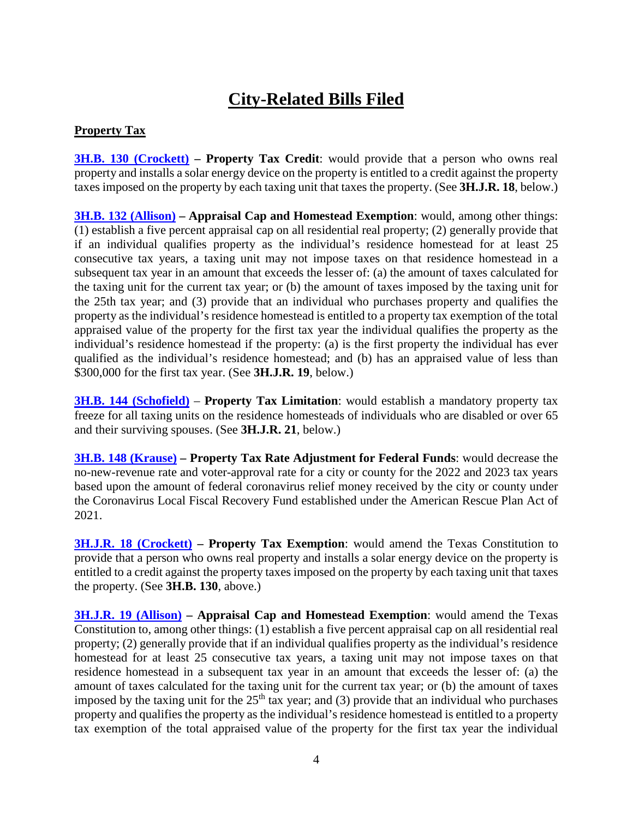# **City-Related Bills Filed**

## **Property Tax**

**[3H.B. 130 \(Crockett\)](https://capitol.texas.gov/BillLookup/History.aspx?LegSess=873&Bill=HB130) – Property Tax Credit**: would provide that a person who owns real property and installs a solar energy device on the property is entitled to a credit against the property taxes imposed on the property by each taxing unit that taxes the property. (See **3H.J.R. 18**, below.)

**[3H.B. 132 \(Allison\)](https://capitol.texas.gov/BillLookup/History.aspx?LegSess=873&Bill=HB132) – Appraisal Cap and Homestead Exemption**: would, among other things: (1) establish a five percent appraisal cap on all residential real property; (2) generally provide that if an individual qualifies property as the individual's residence homestead for at least 25 consecutive tax years, a taxing unit may not impose taxes on that residence homestead in a subsequent tax year in an amount that exceeds the lesser of: (a) the amount of taxes calculated for the taxing unit for the current tax year; or (b) the amount of taxes imposed by the taxing unit for the 25th tax year; and (3) provide that an individual who purchases property and qualifies the property as the individual's residence homestead is entitled to a property tax exemption of the total appraised value of the property for the first tax year the individual qualifies the property as the individual's residence homestead if the property: (a) is the first property the individual has ever qualified as the individual's residence homestead; and (b) has an appraised value of less than \$300,000 for the first tax year. (See **3H.J.R. 19**, below.)

**[3H.B. 144 \(Schofield\)](https://capitol.texas.gov/BillLookup/History.aspx?LegSess=873&Bill=HB144)** – **Property Tax Limitation**: would establish a mandatory property tax freeze for all taxing units on the residence homesteads of individuals who are disabled or over 65 and their surviving spouses. (See **3H.J.R. 21**, below.)

**[3H.B. 148 \(Krause\)](https://capitol.texas.gov/BillLookup/History.aspx?LegSess=873&Bill=HB148) – Property Tax Rate Adjustment for Federal Funds**: would decrease the no-new-revenue rate and voter-approval rate for a city or county for the 2022 and 2023 tax years based upon the amount of federal coronavirus relief money received by the city or county under the Coronavirus Local Fiscal Recovery Fund established under the American Rescue Plan Act of 2021.

**[3H.J.R. 18 \(Crockett\)](https://capitol.texas.gov/BillLookup/History.aspx?LegSess=873&Bill=HJR18) – Property Tax Exemption:** would amend the Texas Constitution to provide that a person who owns real property and installs a solar energy device on the property is entitled to a credit against the property taxes imposed on the property by each taxing unit that taxes the property. (See **3H.B. 130**, above.)

**[3H.J.R. 19 \(Allison\)](https://capitol.texas.gov/BillLookup/History.aspx?LegSess=873&Bill=HJR19) – Appraisal Cap and Homestead Exemption**: would amend the Texas Constitution to, among other things: (1) establish a five percent appraisal cap on all residential real property; (2) generally provide that if an individual qualifies property as the individual's residence homestead for at least 25 consecutive tax years, a taxing unit may not impose taxes on that residence homestead in a subsequent tax year in an amount that exceeds the lesser of: (a) the amount of taxes calculated for the taxing unit for the current tax year; or (b) the amount of taxes imposed by the taxing unit for the  $25<sup>th</sup>$  tax year; and (3) provide that an individual who purchases property and qualifies the property as the individual's residence homestead is entitled to a property tax exemption of the total appraised value of the property for the first tax year the individual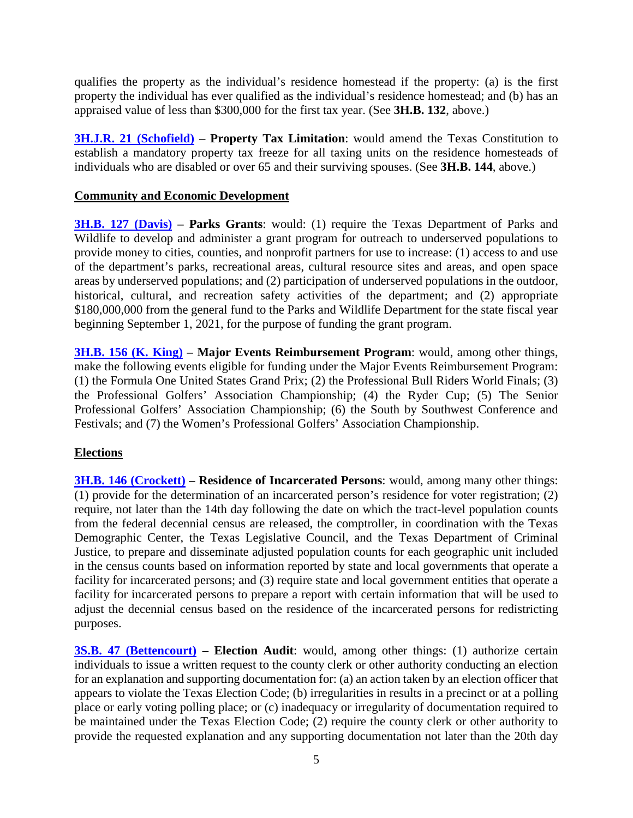qualifies the property as the individual's residence homestead if the property: (a) is the first property the individual has ever qualified as the individual's residence homestead; and (b) has an appraised value of less than \$300,000 for the first tax year. (See **3H.B. 132**, above.)

**[3H.J.R. 21 \(Schofield\)](https://capitol.texas.gov/BillLookup/History.aspx?LegSess=873&Bill=HJR21)** – **Property Tax Limitation**: would amend the Texas Constitution to establish a mandatory property tax freeze for all taxing units on the residence homesteads of individuals who are disabled or over 65 and their surviving spouses. (See **3H.B. 144**, above.)

### **Community and Economic Development**

**[3H.B. 127 \(Davis\)](https://capitol.texas.gov/BillLookup/History.aspx?LegSess=873&Bill=HB127) – Parks Grants**: would: (1) require the Texas Department of Parks and Wildlife to develop and administer a grant program for outreach to underserved populations to provide money to cities, counties, and nonprofit partners for use to increase: (1) access to and use of the department's parks, recreational areas, cultural resource sites and areas, and open space areas by underserved populations; and (2) participation of underserved populations in the outdoor, historical, cultural, and recreation safety activities of the department; and (2) appropriate \$180,000,000 from the general fund to the Parks and Wildlife Department for the state fiscal year beginning September 1, 2021, for the purpose of funding the grant program.

**[3H.B. 156 \(K. King\)](https://capitol.texas.gov/BillLookup/History.aspx?LegSess=873&Bill=HB156) – Major Events Reimbursement Program**: would, among other things, make the following events eligible for funding under the Major Events Reimbursement Program: (1) the Formula One United States Grand Prix; (2) the Professional Bull Riders World Finals; (3) the Professional Golfers' Association Championship; (4) the Ryder Cup; (5) The Senior Professional Golfers' Association Championship; (6) the South by Southwest Conference and Festivals; and (7) the Women's Professional Golfers' Association Championship.

### **Elections**

**[3H.B. 146 \(Crockett\)](https://capitol.texas.gov/BillLookup/History.aspx?LegSess=873&Bill=HB146) – Residence of Incarcerated Persons**: would, among many other things: (1) provide for the determination of an incarcerated person's residence for voter registration; (2) require, not later than the 14th day following the date on which the tract-level population counts from the federal decennial census are released, the comptroller, in coordination with the Texas Demographic Center, the Texas Legislative Council, and the Texas Department of Criminal Justice, to prepare and disseminate adjusted population counts for each geographic unit included in the census counts based on information reported by state and local governments that operate a facility for incarcerated persons; and (3) require state and local government entities that operate a facility for incarcerated persons to prepare a report with certain information that will be used to adjust the decennial census based on the residence of the incarcerated persons for redistricting purposes.

**[3S.B. 47 \(Bettencourt\)](https://capitol.texas.gov/BillLookup/History.aspx?LegSess=873&Bill=SB47) – Election Audit:** would, among other things: (1) authorize certain individuals to issue a written request to the county clerk or other authority conducting an election for an explanation and supporting documentation for: (a) an action taken by an election officer that appears to violate the Texas Election Code; (b) irregularities in results in a precinct or at a polling place or early voting polling place; or (c) inadequacy or irregularity of documentation required to be maintained under the Texas Election Code; (2) require the county clerk or other authority to provide the requested explanation and any supporting documentation not later than the 20th day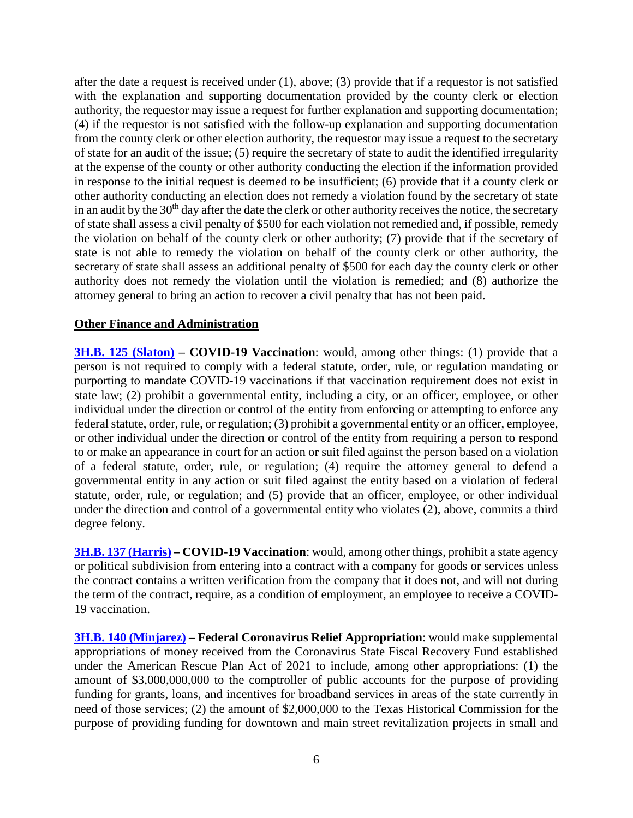after the date a request is received under (1), above; (3) provide that if a requestor is not satisfied with the explanation and supporting documentation provided by the county clerk or election authority, the requestor may issue a request for further explanation and supporting documentation; (4) if the requestor is not satisfied with the follow-up explanation and supporting documentation from the county clerk or other election authority, the requestor may issue a request to the secretary of state for an audit of the issue; (5) require the secretary of state to audit the identified irregularity at the expense of the county or other authority conducting the election if the information provided in response to the initial request is deemed to be insufficient; (6) provide that if a county clerk or other authority conducting an election does not remedy a violation found by the secretary of state in an audit by the 30<sup>th</sup> day after the date the clerk or other authority receives the notice, the secretary of state shall assess a civil penalty of \$500 for each violation not remedied and, if possible, remedy the violation on behalf of the county clerk or other authority; (7) provide that if the secretary of state is not able to remedy the violation on behalf of the county clerk or other authority, the secretary of state shall assess an additional penalty of \$500 for each day the county clerk or other authority does not remedy the violation until the violation is remedied; and (8) authorize the attorney general to bring an action to recover a civil penalty that has not been paid.

#### **Other Finance and Administration**

**[3H.B. 125 \(Slaton\)](https://capitol.texas.gov/BillLookup/History.aspx?LegSess=873&Bill=HB125) – COVID-19 Vaccination**: would, among other things: (1) provide that a person is not required to comply with a federal statute, order, rule, or regulation mandating or purporting to mandate COVID-19 vaccinations if that vaccination requirement does not exist in state law; (2) prohibit a governmental entity, including a city, or an officer, employee, or other individual under the direction or control of the entity from enforcing or attempting to enforce any federal statute, order, rule, or regulation; (3) prohibit a governmental entity or an officer, employee, or other individual under the direction or control of the entity from requiring a person to respond to or make an appearance in court for an action or suit filed against the person based on a violation of a federal statute, order, rule, or regulation; (4) require the attorney general to defend a governmental entity in any action or suit filed against the entity based on a violation of federal statute, order, rule, or regulation; and (5) provide that an officer, employee, or other individual under the direction and control of a governmental entity who violates (2), above, commits a third degree felony.

**[3H.B. 137 \(Harris\)](https://capitol.texas.gov/BillLookup/History.aspx?LegSess=873&Bill=HB137) – COVID-19 Vaccination**: would, among other things, prohibit a state agency or political subdivision from entering into a contract with a company for goods or services unless the contract contains a written verification from the company that it does not, and will not during the term of the contract, require, as a condition of employment, an employee to receive a COVID-19 vaccination.

**[3H.B. 140 \(Minjarez\)](https://capitol.texas.gov/BillLookup/History.aspx?LegSess=873&Bill=HB140) – Federal Coronavirus Relief Appropriation**: would make supplemental appropriations of money received from the Coronavirus State Fiscal Recovery Fund established under the American Rescue Plan Act of 2021 to include, among other appropriations: (1) the amount of \$3,000,000,000 to the comptroller of public accounts for the purpose of providing funding for grants, loans, and incentives for broadband services in areas of the state currently in need of those services; (2) the amount of \$2,000,000 to the Texas Historical Commission for the purpose of providing funding for downtown and main street revitalization projects in small and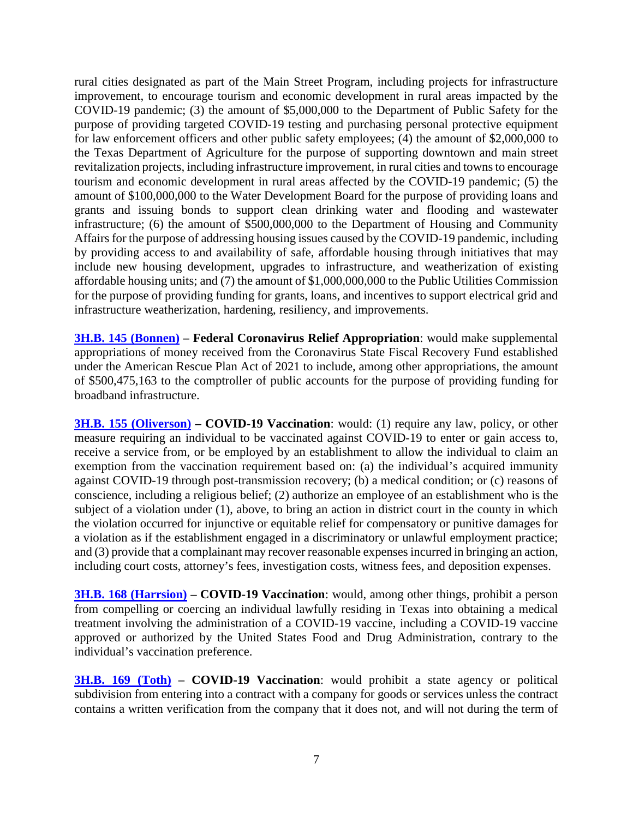rural cities designated as part of the Main Street Program, including projects for infrastructure improvement, to encourage tourism and economic development in rural areas impacted by the COVID-19 pandemic; (3) the amount of \$5,000,000 to the Department of Public Safety for the purpose of providing targeted COVID-19 testing and purchasing personal protective equipment for law enforcement officers and other public safety employees; (4) the amount of \$2,000,000 to the Texas Department of Agriculture for the purpose of supporting downtown and main street revitalization projects, including infrastructure improvement, in rural cities and towns to encourage tourism and economic development in rural areas affected by the COVID-19 pandemic; (5) the amount of \$100,000,000 to the Water Development Board for the purpose of providing loans and grants and issuing bonds to support clean drinking water and flooding and wastewater infrastructure; (6) the amount of \$500,000,000 to the Department of Housing and Community Affairs for the purpose of addressing housing issues caused by the COVID-19 pandemic, including by providing access to and availability of safe, affordable housing through initiatives that may include new housing development, upgrades to infrastructure, and weatherization of existing affordable housing units; and (7) the amount of \$1,000,000,000 to the Public Utilities Commission for the purpose of providing funding for grants, loans, and incentives to support electrical grid and infrastructure weatherization, hardening, resiliency, and improvements.

**[3H.B. 145 \(Bonnen\)](https://capitol.texas.gov/BillLookup/History.aspx?LegSess=873&Bill=HB145) – Federal Coronavirus Relief Appropriation**: would make supplemental appropriations of money received from the Coronavirus State Fiscal Recovery Fund established under the American Rescue Plan Act of 2021 to include, among other appropriations, the amount of \$500,475,163 to the comptroller of public accounts for the purpose of providing funding for broadband infrastructure.

**[3H.B. 155 \(Oliverson\)](https://capitol.texas.gov/BillLookup/History.aspx?LegSess=873&Bill=HB155) – COVID-19 Vaccination**: would: (1) require any law, policy, or other measure requiring an individual to be vaccinated against COVID-19 to enter or gain access to, receive a service from, or be employed by an establishment to allow the individual to claim an exemption from the vaccination requirement based on: (a) the individual's acquired immunity against COVID-19 through post-transmission recovery; (b) a medical condition; or (c) reasons of conscience, including a religious belief; (2) authorize an employee of an establishment who is the subject of a violation under (1), above, to bring an action in district court in the county in which the violation occurred for injunctive or equitable relief for compensatory or punitive damages for a violation as if the establishment engaged in a discriminatory or unlawful employment practice; and (3) provide that a complainant may recover reasonable expenses incurred in bringing an action, including court costs, attorney's fees, investigation costs, witness fees, and deposition expenses.

**[3H.B. 168 \(Harrsion\)](https://capitol.texas.gov/BillLookup/History.aspx?LegSess=873&Bill=HB168) – COVID-19 Vaccination**: would, among other things, prohibit a person from compelling or coercing an individual lawfully residing in Texas into obtaining a medical treatment involving the administration of a COVID-19 vaccine, including a COVID-19 vaccine approved or authorized by the United States Food and Drug Administration, contrary to the individual's vaccination preference.

**[3H.B. 169 \(Toth\)](https://capitol.texas.gov/BillLookup/History.aspx?LegSess=873&Bill=HB169) – COVID-19 Vaccination**: would prohibit a state agency or political subdivision from entering into a contract with a company for goods or services unless the contract contains a written verification from the company that it does not, and will not during the term of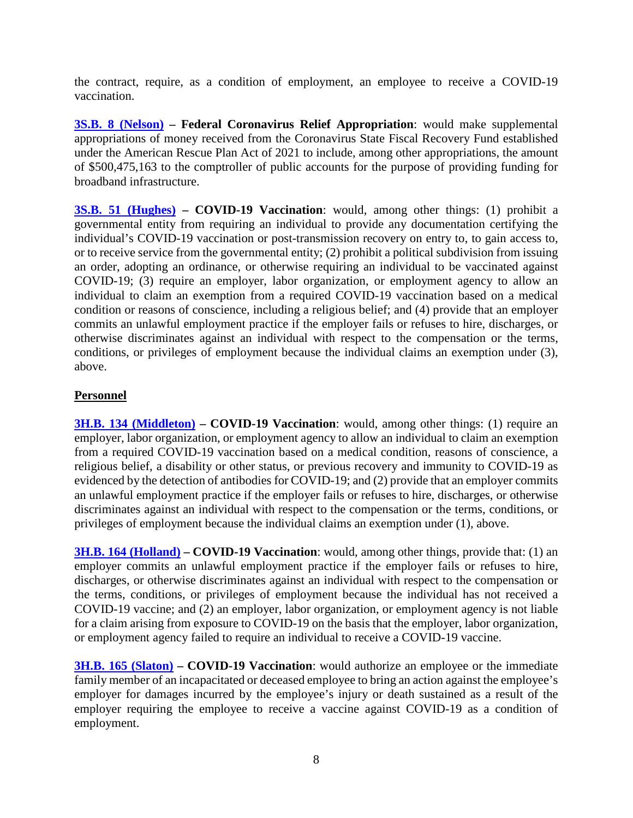the contract, require, as a condition of employment, an employee to receive a COVID-19 vaccination.

**[3S.B. 8 \(Nelson\)](https://capitol.texas.gov/BillLookup/History.aspx?LegSess=873&Bill=SB8) – Federal Coronavirus Relief Appropriation**: would make supplemental appropriations of money received from the Coronavirus State Fiscal Recovery Fund established under the American Rescue Plan Act of 2021 to include, among other appropriations, the amount of \$500,475,163 to the comptroller of public accounts for the purpose of providing funding for broadband infrastructure.

**[3S.B. 51 \(Hughes\)](https://capitol.texas.gov/BillLookup/History.aspx?LegSess=873&Bill=SB51) – COVID-19 Vaccination**: would, among other things: (1) prohibit a governmental entity from requiring an individual to provide any documentation certifying the individual's COVID-19 vaccination or post-transmission recovery on entry to, to gain access to, or to receive service from the governmental entity; (2) prohibit a political subdivision from issuing an order, adopting an ordinance, or otherwise requiring an individual to be vaccinated against COVID-19; (3) require an employer, labor organization, or employment agency to allow an individual to claim an exemption from a required COVID-19 vaccination based on a medical condition or reasons of conscience, including a religious belief; and (4) provide that an employer commits an unlawful employment practice if the employer fails or refuses to hire, discharges, or otherwise discriminates against an individual with respect to the compensation or the terms, conditions, or privileges of employment because the individual claims an exemption under (3), above.

### **Personnel**

**[3H.B. 134 \(Middleton\)](https://capitol.texas.gov/BillLookup/History.aspx?LegSess=873&Bill=HB134) – COVID-19 Vaccination:** would, among other things: (1) require an employer, labor organization, or employment agency to allow an individual to claim an exemption from a required COVID-19 vaccination based on a medical condition, reasons of conscience, a religious belief, a disability or other status, or previous recovery and immunity to COVID-19 as evidenced by the detection of antibodies for COVID-19; and (2) provide that an employer commits an unlawful employment practice if the employer fails or refuses to hire, discharges, or otherwise discriminates against an individual with respect to the compensation or the terms, conditions, or privileges of employment because the individual claims an exemption under (1), above.

**[3H.B. 164 \(Holland\)](https://capitol.texas.gov/BillLookup/History.aspx?LegSess=873&Bill=HB164) – COVID-19 Vaccination**: would, among other things, provide that: (1) an employer commits an unlawful employment practice if the employer fails or refuses to hire, discharges, or otherwise discriminates against an individual with respect to the compensation or the terms, conditions, or privileges of employment because the individual has not received a COVID-19 vaccine; and (2) an employer, labor organization, or employment agency is not liable for a claim arising from exposure to COVID-19 on the basis that the employer, labor organization, or employment agency failed to require an individual to receive a COVID-19 vaccine.

**[3H.B. 165 \(Slaton\)](https://capitol.texas.gov/BillLookup/History.aspx?LegSess=873&Bill=HB165) – COVID-19 Vaccination**: would authorize an employee or the immediate family member of an incapacitated or deceased employee to bring an action against the employee's employer for damages incurred by the employee's injury or death sustained as a result of the employer requiring the employee to receive a vaccine against COVID-19 as a condition of employment.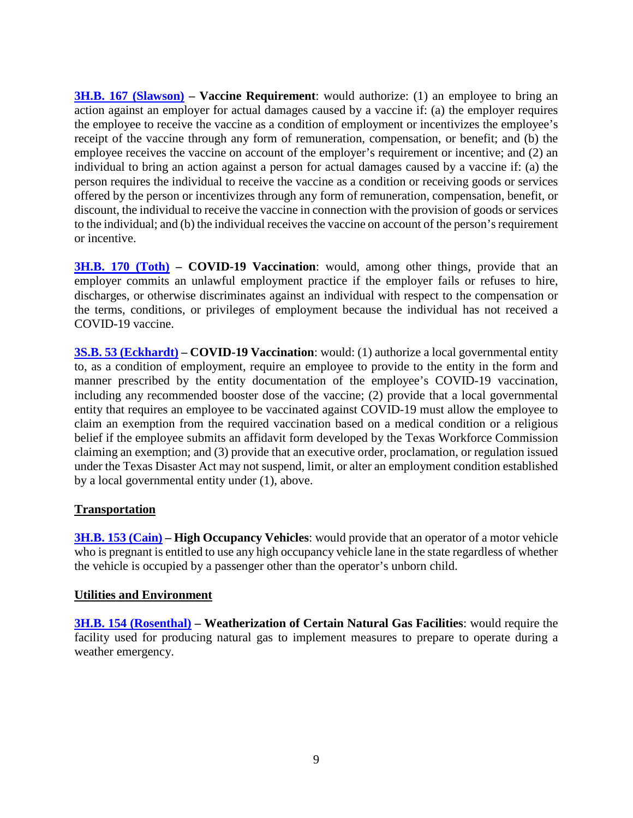**[3H.B. 167 \(Slawson\)](https://capitol.texas.gov/BillLookup/History.aspx?LegSess=873&Bill=HB167) – Vaccine Requirement:** would authorize: (1) an employee to bring an action against an employer for actual damages caused by a vaccine if: (a) the employer requires the employee to receive the vaccine as a condition of employment or incentivizes the employee's receipt of the vaccine through any form of remuneration, compensation, or benefit; and (b) the employee receives the vaccine on account of the employer's requirement or incentive; and (2) an individual to bring an action against a person for actual damages caused by a vaccine if: (a) the person requires the individual to receive the vaccine as a condition or receiving goods or services offered by the person or incentivizes through any form of remuneration, compensation, benefit, or discount, the individual to receive the vaccine in connection with the provision of goods or services to the individual; and (b) the individual receives the vaccine on account of the person's requirement or incentive.

**[3H.B. 170 \(Toth\)](https://capitol.texas.gov/BillLookup/History.aspx?LegSess=873&Bill=HB170) – COVID-19 Vaccination:** would, among other things, provide that an employer commits an unlawful employment practice if the employer fails or refuses to hire, discharges, or otherwise discriminates against an individual with respect to the compensation or the terms, conditions, or privileges of employment because the individual has not received a COVID-19 vaccine.

**[3S.B. 53 \(Eckhardt\)](https://capitol.texas.gov/BillLookup/History.aspx?LegSess=873&Bill=SB53) – COVID-19 Vaccination**: would: (1) authorize a local governmental entity to, as a condition of employment, require an employee to provide to the entity in the form and manner prescribed by the entity documentation of the employee's COVID-19 vaccination, including any recommended booster dose of the vaccine; (2) provide that a local governmental entity that requires an employee to be vaccinated against COVID-19 must allow the employee to claim an exemption from the required vaccination based on a medical condition or a religious belief if the employee submits an affidavit form developed by the Texas Workforce Commission claiming an exemption; and (3) provide that an executive order, proclamation, or regulation issued under the Texas Disaster Act may not suspend, limit, or alter an employment condition established by a local governmental entity under (1), above.

## **Transportation**

**[3H.B. 153 \(Cain\)](https://capitol.texas.gov/BillLookup/History.aspx?LegSess=873&Bill=HB153) – High Occupancy Vehicles**: would provide that an operator of a motor vehicle who is pregnant is entitled to use any high occupancy vehicle lane in the state regardless of whether the vehicle is occupied by a passenger other than the operator's unborn child.

### **Utilities and Environment**

**[3H.B. 154 \(Rosenthal\)](https://capitol.texas.gov/BillLookup/History.aspx?LegSess=873&Bill=HB154) – Weatherization of Certain Natural Gas Facilities**: would require the facility used for producing natural gas to implement measures to prepare to operate during a weather emergency.